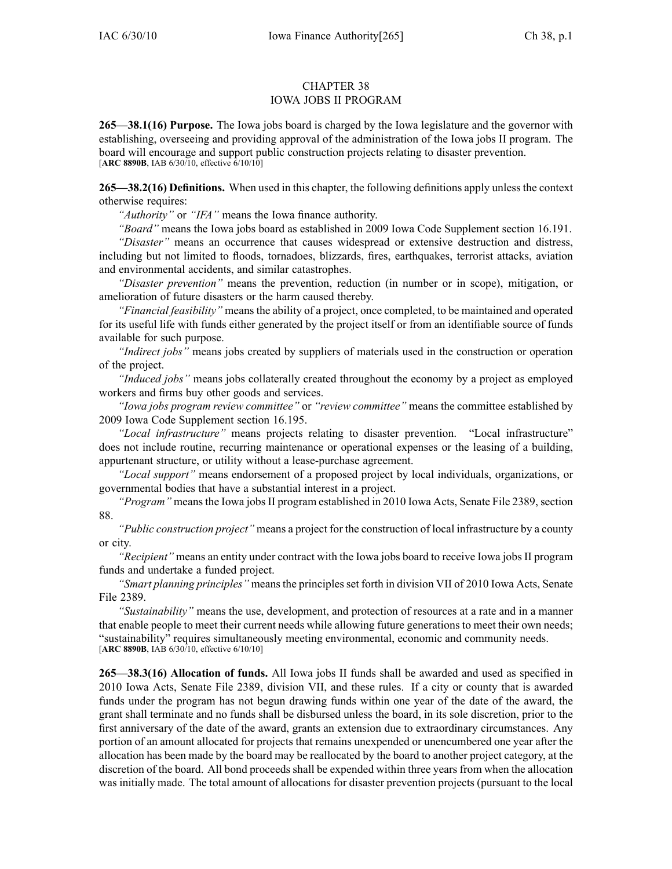## CHAPTER 38 IOWA JOBS II PROGRAM

**265—38.1(16) Purpose.** The Iowa jobs board is charged by the Iowa legislature and the governor with establishing, overseeing and providing approval of the administration of the Iowa jobs II program. The board will encourage and suppor<sup>t</sup> public construction projects relating to disaster prevention. [**ARC 8890B**, IAB 6/30/10, effective 6/10/10]

**265—38.2(16) Definitions.** When used in this chapter, the following definitions apply unless the context otherwise requires:

*"Authority"* or *"IFA"* means the Iowa finance authority.

*"Board"* means the Iowa jobs board as established in 2009 Iowa Code Supplement section 16.191.

*"Disaster"* means an occurrence that causes widespread or extensive destruction and distress, including but not limited to floods, tornadoes, blizzards, fires, earthquakes, terrorist attacks, aviation and environmental accidents, and similar catastrophes.

*"Disaster prevention"* means the prevention, reduction (in number or in scope), mitigation, or amelioration of future disasters or the harm caused thereby.

*"Financial feasibility"* meansthe ability of <sup>a</sup> project, once completed, to be maintained and operated for its useful life with funds either generated by the project itself or from an identifiable source of funds available for such purpose.

*"Indirect jobs"* means jobs created by suppliers of materials used in the construction or operation of the project.

*"Induced jobs"* means jobs collaterally created throughout the economy by <sup>a</sup> project as employed workers and firms buy other goods and services.

*"Iowa jobs program review committee"* or *"review committee"* means the committee established by 2009 Iowa Code Supplement section 16.195.

*"Local infrastructure"* means projects relating to disaster prevention. "Local infrastructure" does not include routine, recurring maintenance or operational expenses or the leasing of <sup>a</sup> building, appurtenant structure, or utility without <sup>a</sup> lease-purchase agreement.

*"Local support"* means endorsement of <sup>a</sup> proposed project by local individuals, organizations, or governmental bodies that have <sup>a</sup> substantial interest in <sup>a</sup> project.

*"Program"* means the Iowa jobs II program established in 2010 Iowa Acts, Senate File 2389, section 88.

*"Public construction project"* means <sup>a</sup> project for the construction of local infrastructure by <sup>a</sup> county or city.

*"Recipient"* means an entity under contract with the Iowa jobs board to receive Iowa jobs II program funds and undertake <sup>a</sup> funded project.

*"Smart planning principles"* means the principles set forth in division VII of 2010 Iowa Acts, Senate File 2389.

*"Sustainability"* means the use, development, and protection of resources at <sup>a</sup> rate and in <sup>a</sup> manner that enable people to meet their current needs while allowing future generations to meet their own needs; "sustainability" requires simultaneously meeting environmental, economic and community needs. [**ARC 8890B**, IAB 6/30/10, effective 6/10/10]

**265—38.3(16) Allocation of funds.** All Iowa jobs II funds shall be awarded and used as specified in 2010 Iowa Acts, Senate File 2389, division VII, and these rules. If <sup>a</sup> city or county that is awarded funds under the program has not begun drawing funds within one year of the date of the award, the gran<sup>t</sup> shall terminate and no funds shall be disbursed unless the board, in its sole discretion, prior to the first anniversary of the date of the award, grants an extension due to extraordinary circumstances. Any portion of an amount allocated for projects that remains unexpended or unencumbered one year after the allocation has been made by the board may be reallocated by the board to another project category, at the discretion of the board. All bond proceeds shall be expended within three years from when the allocation was initially made. The total amount of allocations for disaster prevention projects (pursuant to the local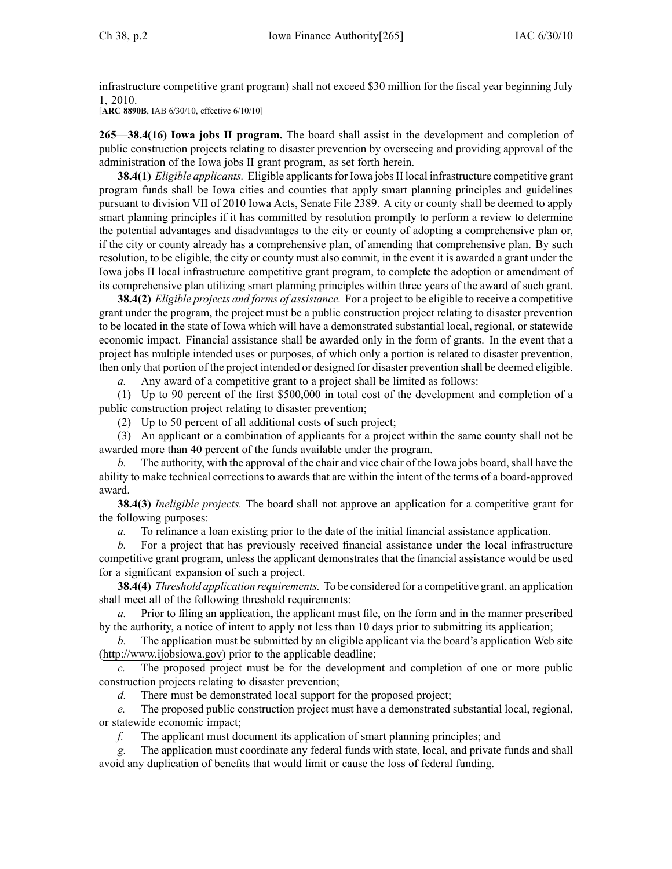infrastructure competitive gran<sup>t</sup> program) shall not exceed \$30 million for the fiscal year beginning July 1, 2010.

[**ARC 8890B**, IAB 6/30/10, effective 6/10/10]

**265—38.4(16) Iowa jobs II program.** The board shall assist in the development and completion of public construction projects relating to disaster prevention by overseeing and providing approval of the administration of the Iowa jobs II gran<sup>t</sup> program, as set forth herein.

**38.4(1)** *Eligible applicants.* Eligible applicants for Iowa jobs II local infrastructure competitive grant program funds shall be Iowa cities and counties that apply smart planning principles and guidelines pursuan<sup>t</sup> to division VII of 2010 Iowa Acts, Senate File 2389. A city or county shall be deemed to apply smart planning principles if it has committed by resolution promptly to perform <sup>a</sup> review to determine the potential advantages and disadvantages to the city or county of adopting <sup>a</sup> comprehensive plan or, if the city or county already has <sup>a</sup> comprehensive plan, of amending that comprehensive plan. By such resolution, to be eligible, the city or county must also commit, in the event it is awarded <sup>a</sup> gran<sup>t</sup> under the Iowa jobs II local infrastructure competitive gran<sup>t</sup> program, to complete the adoption or amendment of its comprehensive plan utilizing smart planning principles within three years of the award of such grant.

**38.4(2)** *Eligible projects and forms of assistance.* For <sup>a</sup> project to be eligible to receive <sup>a</sup> competitive gran<sup>t</sup> under the program, the project must be <sup>a</sup> public construction project relating to disaster prevention to be located in the state of Iowa which will have <sup>a</sup> demonstrated substantial local, regional, or statewide economic impact. Financial assistance shall be awarded only in the form of grants. In the event that <sup>a</sup> project has multiple intended uses or purposes, of which only <sup>a</sup> portion is related to disaster prevention, then only that portion of the project intended or designed for disaster prevention shall be deemed eligible.

*a.* Any award of <sup>a</sup> competitive gran<sup>t</sup> to <sup>a</sup> project shall be limited as follows:

(1) Up to 90 percen<sup>t</sup> of the first \$500,000 in total cost of the development and completion of <sup>a</sup> public construction project relating to disaster prevention;

(2) Up to 50 percen<sup>t</sup> of all additional costs of such project;

(3) An applicant or <sup>a</sup> combination of applicants for <sup>a</sup> project within the same county shall not be awarded more than 40 percen<sup>t</sup> of the funds available under the program.

*b.* The authority, with the approval of the chair and vice chair of the Iowa jobs board, shall have the ability to make technical corrections to awards that are within the intent of the terms of <sup>a</sup> board-approved award.

**38.4(3)** *Ineligible projects.* The board shall not approve an application for <sup>a</sup> competitive gran<sup>t</sup> for the following purposes:

*a.* To refinance <sup>a</sup> loan existing prior to the date of the initial financial assistance application.

*b.* For <sup>a</sup> project that has previously received financial assistance under the local infrastructure competitive gran<sup>t</sup> program, unless the applicant demonstrates that the financial assistance would be used for <sup>a</sup> significant expansion of such <sup>a</sup> project.

**38.4(4)** *Threshold application requirements.* To be considered for <sup>a</sup> competitive grant, an application shall meet all of the following threshold requirements:

*a.* Prior to filing an application, the applicant must file, on the form and in the manner prescribed by the authority, <sup>a</sup> notice of intent to apply not less than 10 days prior to submitting its application;

*b.* The application must be submitted by an eligible applicant via the board's application Web site (http://www.ijobsiowa.gov) prior to the applicable deadline;

*c.* The proposed project must be for the development and completion of one or more public construction projects relating to disaster prevention;

*d.* There must be demonstrated local suppor<sup>t</sup> for the proposed project;

*e.* The proposed public construction project must have <sup>a</sup> demonstrated substantial local, regional, or statewide economic impact;

*f.* The applicant must document its application of smart planning principles; and

*g.* The application must coordinate any federal funds with state, local, and private funds and shall avoid any duplication of benefits that would limit or cause the loss of federal funding.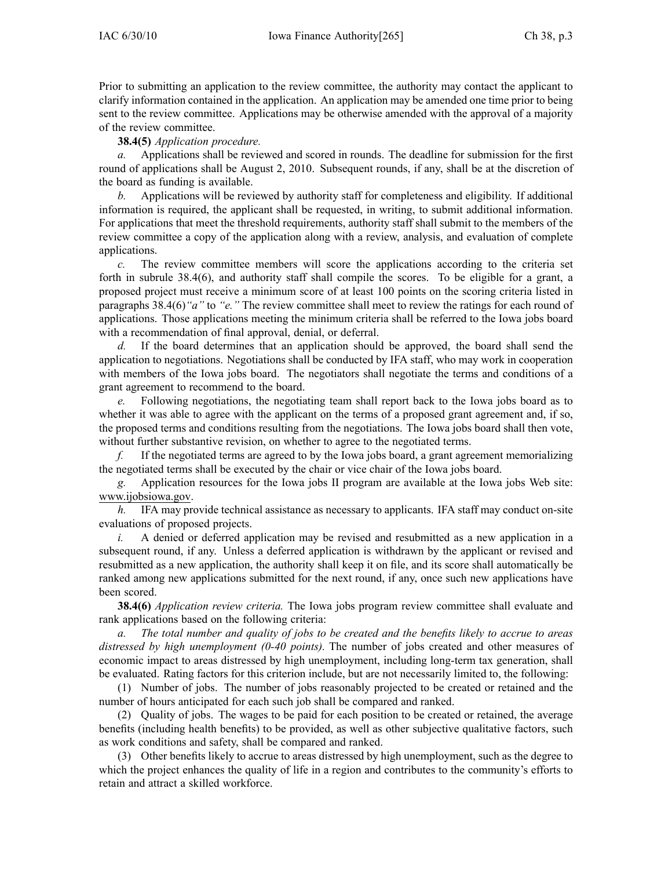Prior to submitting an application to the review committee, the authority may contact the applicant to clarify information contained in the application. An application may be amended one time prior to being sent to the review committee. Applications may be otherwise amended with the approval of <sup>a</sup> majority of the review committee.

## **38.4(5)** *Application procedure.*

*a.* Applications shall be reviewed and scored in rounds. The deadline for submission for the first round of applications shall be August 2, 2010. Subsequent rounds, if any, shall be at the discretion of the board as funding is available.

*b.* Applications will be reviewed by authority staff for completeness and eligibility. If additional information is required, the applicant shall be requested, in writing, to submit additional information. For applications that meet the threshold requirements, authority staff shall submit to the members of the review committee <sup>a</sup> copy of the application along with <sup>a</sup> review, analysis, and evaluation of complete applications.

*c.* The review committee members will score the applications according to the criteria set forth in subrule 38.4(6), and authority staff shall compile the scores. To be eligible for <sup>a</sup> grant, <sup>a</sup> proposed project must receive <sup>a</sup> minimum score of at least 100 points on the scoring criteria listed in paragraphs 38.4(6)*"a"* to *"e."* The review committee shall meet to review the ratings for each round of applications. Those applications meeting the minimum criteria shall be referred to the Iowa jobs board with <sup>a</sup> recommendation of final approval, denial, or deferral.

*d.* If the board determines that an application should be approved, the board shall send the application to negotiations. Negotiations shall be conducted by IFA staff, who may work in cooperation with members of the Iowa jobs board. The negotiators shall negotiate the terms and conditions of <sup>a</sup> gran<sup>t</sup> agreemen<sup>t</sup> to recommend to the board.

*e.* Following negotiations, the negotiating team shall repor<sup>t</sup> back to the Iowa jobs board as to whether it was able to agree with the applicant on the terms of a proposed grant agreement and, if so, the proposed terms and conditions resulting from the negotiations. The Iowa jobs board shall then vote, without further substantive revision, on whether to agree to the negotiated terms.

*f.* If the negotiated terms are agreed to by the Iowa jobs board, <sup>a</sup> gran<sup>t</sup> agreemen<sup>t</sup> memorializing the negotiated terms shall be executed by the chair or vice chair of the Iowa jobs board.

*g.* Application resources for the Iowa jobs II program are available at the Iowa jobs Web site: www.ijobsiowa.gov.

*h.* IFA may provide technical assistance as necessary to applicants. IFA staff may conduct on-site evaluations of proposed projects.

*i.* A denied or deferred application may be revised and resubmitted as a new application in a subsequent round, if any. Unless <sup>a</sup> deferred application is withdrawn by the applicant or revised and resubmitted as <sup>a</sup> new application, the authority shall keep it on file, and its score shall automatically be ranked among new applications submitted for the next round, if any, once such new applications have been scored.

**38.4(6)** *Application review criteria.* The Iowa jobs program review committee shall evaluate and rank applications based on the following criteria:

a. The total number and quality of jobs to be created and the benefits likely to accrue to areas *distressed by high unemployment (0-40 points).* The number of jobs created and other measures of economic impact to areas distressed by high unemployment, including long-term tax generation, shall be evaluated. Rating factors for this criterion include, but are not necessarily limited to, the following:

(1) Number of jobs. The number of jobs reasonably projected to be created or retained and the number of hours anticipated for each such job shall be compared and ranked.

(2) Quality of jobs. The wages to be paid for each position to be created or retained, the average benefits (including health benefits) to be provided, as well as other subjective qualitative factors, such as work conditions and safety, shall be compared and ranked.

(3) Other benefits likely to accrue to areas distressed by high unemployment, such as the degree to which the project enhances the quality of life in <sup>a</sup> region and contributes to the community's efforts to retain and attract <sup>a</sup> skilled workforce.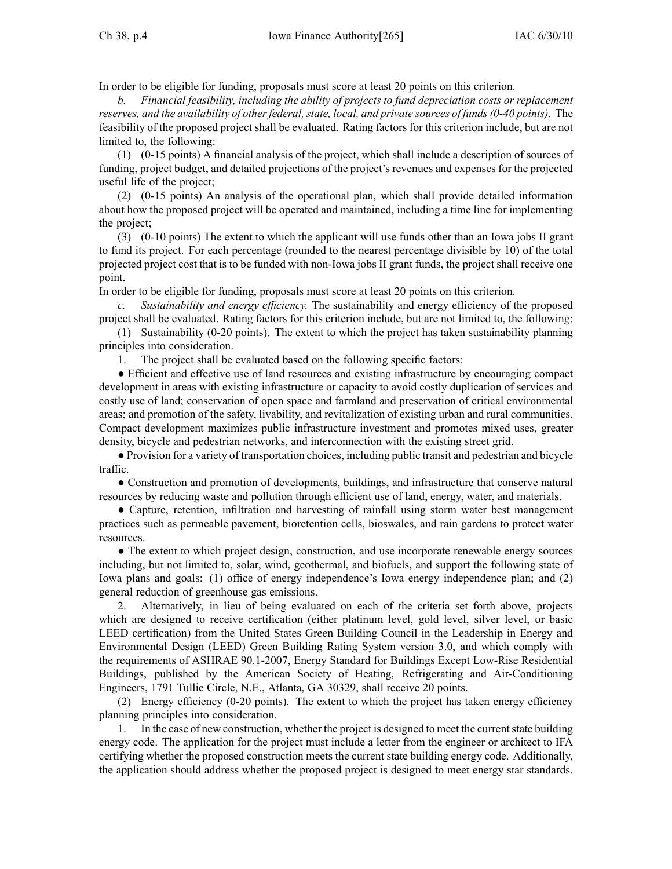In order to be eligible for funding, proposals must score at least 20 points on this criterion.

*b. Financial feasibility, including the ability of projects to fund depreciation costs or replacement reserves,* and the *availability* of *other federal, state, local, and private sources of funds (0-40 points).* The feasibility of the proposed project shall be evaluated. Rating factors for this criterion include, but are not limited to, the following:

(1) (0-15 points) A financial analysis of the project, which shall include <sup>a</sup> description of sources of funding, project budget, and detailed projections of the project's revenues and expenses for the projected useful life of the project;

(2) (0-15 points) An analysis of the operational plan, which shall provide detailed information about how the proposed project will be operated and maintained, including <sup>a</sup> time line for implementing the project;

(3) (0-10 points) The extent to which the applicant will use funds other than an Iowa jobs II gran<sup>t</sup> to fund its project. For each percentage (rounded to the nearest percentage divisible by 10) of the total projected project cost that is to be funded with non-Iowa jobs II gran<sup>t</sup> funds, the project shall receive one point.

In order to be eligible for funding, proposals must score at least 20 points on this criterion.

*c. Sustainability and energy efficiency.* The sustainability and energy efficiency of the proposed project shall be evaluated. Rating factors for this criterion include, but are not limited to, the following:

(1) Sustainability (0-20 points). The extent to which the project has taken sustainability planning principles into consideration.

1. The project shall be evaluated based on the following specific factors:

● Efficient and effective use of land resources and existing infrastructure by encouraging compac<sup>t</sup> development in areas with existing infrastructure or capacity to avoid costly duplication of services and costly use of land; conservation of open space and farmland and preservation of critical environmental areas; and promotion of the safety, livability, and revitalization of existing urban and rural communities. Compact development maximizes public infrastructure investment and promotes mixed uses, greater density, bicycle and pedestrian networks, and interconnection with the existing street grid.

● Provision for <sup>a</sup> variety of transportation choices, including public transit and pedestrian and bicycle traffic.

● Construction and promotion of developments, buildings, and infrastructure that conserve natural resources by reducing waste and pollution through efficient use of land, energy, water, and materials.

• Capture, retention, infiltration and harvesting of rainfall using storm water best management practices such as permeable pavement, bioretention cells, bioswales, and rain gardens to protect water resources.

● The extent to which project design, construction, and use incorporate renewable energy sources including, but not limited to, solar, wind, geothermal, and biofuels, and suppor<sup>t</sup> the following state of Iowa plans and goals: (1) office of energy independence's Iowa energy independence plan; and (2) general reduction of greenhouse gas emissions.

2. Alternatively, in lieu of being evaluated on each of the criteria set forth above, projects which are designed to receive certification (either platinum level, gold level, silver level, or basic LEED certification) from the United States Green Building Council in the Leadership in Energy and Environmental Design (LEED) Green Building Rating System version 3.0, and which comply with the requirements of ASHRAE 90.1-2007, Energy Standard for Buildings Except Low-Rise Residential Buildings, published by the American Society of Heating, Refrigerating and Air-Conditioning Engineers, 1791 Tullie Circle, N.E., Atlanta, GA 30329, shall receive 20 points.

(2) Energy efficiency (0-20 points). The extent to which the project has taken energy efficiency planning principles into consideration.

1. In the case of new construction, whether the project is designed to meet the currentstate building energy code. The application for the project must include <sup>a</sup> letter from the engineer or architect to IFA certifying whether the proposed construction meets the current state building energy code. Additionally, the application should address whether the proposed project is designed to meet energy star standards.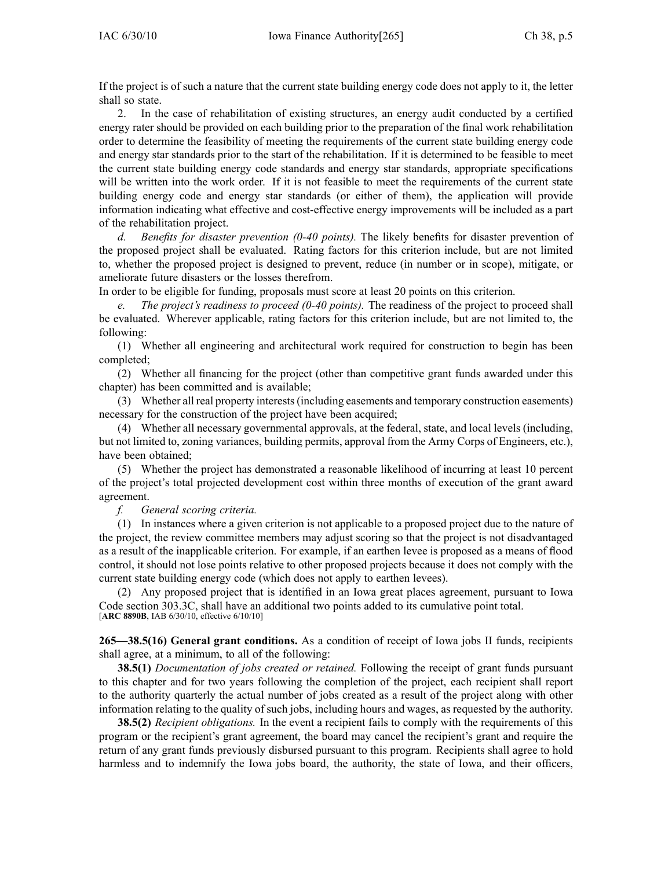If the project is of such <sup>a</sup> nature that the current state building energy code does not apply to it, the letter shall so state.

2. In the case of rehabilitation of existing structures, an energy audit conducted by <sup>a</sup> certified energy rater should be provided on each building prior to the preparation of the final work rehabilitation order to determine the feasibility of meeting the requirements of the current state building energy code and energy star standards prior to the start of the rehabilitation. If it is determined to be feasible to meet the current state building energy code standards and energy star standards, appropriate specifications will be written into the work order. If it is not feasible to meet the requirements of the current state building energy code and energy star standards (or either of them), the application will provide information indicating what effective and cost-effective energy improvements will be included as <sup>a</sup> par<sup>t</sup> of the rehabilitation project.

*d. Benefits for disaster prevention (0-40 points).* The likely benefits for disaster prevention of the proposed project shall be evaluated. Rating factors for this criterion include, but are not limited to, whether the proposed project is designed to prevent, reduce (in number or in scope), mitigate, or ameliorate future disasters or the losses therefrom.

In order to be eligible for funding, proposals must score at least 20 points on this criterion.

*e. The project's readiness to proceed (0-40 points).* The readiness of the project to proceed shall be evaluated. Wherever applicable, rating factors for this criterion include, but are not limited to, the following:

(1) Whether all engineering and architectural work required for construction to begin has been completed;

(2) Whether all financing for the project (other than competitive gran<sup>t</sup> funds awarded under this chapter) has been committed and is available;

(3) Whether all real property interests(including easements and temporary construction easements) necessary for the construction of the project have been acquired;

(4) Whether all necessary governmental approvals, at the federal, state, and local levels (including, but not limited to, zoning variances, building permits, approval from the Army Corps of Engineers, etc.), have been obtained;

(5) Whether the project has demonstrated <sup>a</sup> reasonable likelihood of incurring at least 10 percen<sup>t</sup> of the project's total projected development cost within three months of execution of the gran<sup>t</sup> award agreement.

*f. General scoring criteria.*

(1) In instances where <sup>a</sup> given criterion is not applicable to <sup>a</sup> proposed project due to the nature of the project, the review committee members may adjust scoring so that the project is not disadvantaged as <sup>a</sup> result of the inapplicable criterion. For example, if an earthen levee is proposed as <sup>a</sup> means of flood control, it should not lose points relative to other proposed projects because it does not comply with the current state building energy code (which does not apply to earthen levees).

(2) Any proposed project that is identified in an Iowa grea<sup>t</sup> places agreement, pursuan<sup>t</sup> to Iowa Code section 303.3C, shall have an additional two points added to its cumulative point total. [**ARC 8890B**, IAB 6/30/10, effective 6/10/10]

**265—38.5(16) General gran<sup>t</sup> conditions.** As <sup>a</sup> condition of receipt of Iowa jobs II funds, recipients shall agree, at <sup>a</sup> minimum, to all of the following:

**38.5(1)** *Documentation of jobs created or retained.* Following the receipt of gran<sup>t</sup> funds pursuan<sup>t</sup> to this chapter and for two years following the completion of the project, each recipient shall repor<sup>t</sup> to the authority quarterly the actual number of jobs created as <sup>a</sup> result of the project along with other information relating to the quality of such jobs, including hours and wages, as requested by the authority.

**38.5(2)** *Recipient obligations*. In the event a recipient fails to comply with the requirements of this program or the recipient's gran<sup>t</sup> agreement, the board may cancel the recipient's gran<sup>t</sup> and require the return of any gran<sup>t</sup> funds previously disbursed pursuan<sup>t</sup> to this program. Recipients shall agree to hold harmless and to indemnify the Iowa jobs board, the authority, the state of Iowa, and their officers,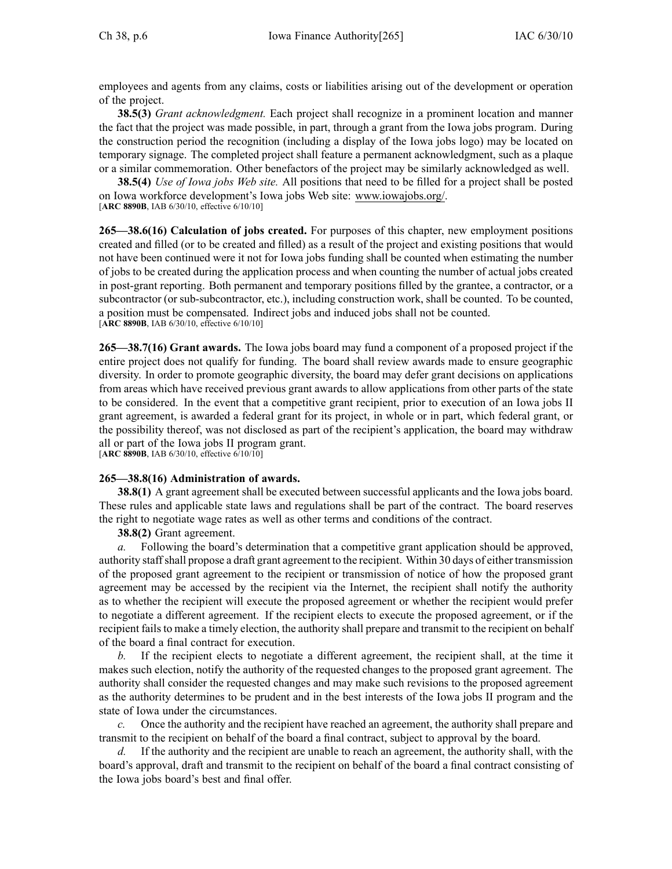employees and agents from any claims, costs or liabilities arising out of the development or operation of the project.

**38.5(3)** *Grant acknowledgment.* Each project shall recognize in <sup>a</sup> prominent location and manner the fact that the project was made possible, in part, through <sup>a</sup> gran<sup>t</sup> from the Iowa jobs program. During the construction period the recognition (including <sup>a</sup> display of the Iowa jobs logo) may be located on temporary signage. The completed project shall feature <sup>a</sup> permanen<sup>t</sup> acknowledgment, such as <sup>a</sup> plaque or <sup>a</sup> similar commemoration. Other benefactors of the project may be similarly acknowledged as well.

**38.5(4)** *Use of Iowa jobs Web site.* All positions that need to be filled for <sup>a</sup> project shall be posted on Iowa workforce development's Iowa jobs Web site: www.iowajobs.org/. [**ARC 8890B**, IAB 6/30/10, effective 6/10/10]

**265—38.6(16) Calculation of jobs created.** For purposes of this chapter, new employment positions created and filled (or to be created and filled) as <sup>a</sup> result of the project and existing positions that would not have been continued were it not for Iowa jobs funding shall be counted when estimating the number of jobs to be created during the application process and when counting the number of actual jobs created in post-grant reporting. Both permanen<sup>t</sup> and temporary positions filled by the grantee, <sup>a</sup> contractor, or <sup>a</sup> subcontractor (or sub-subcontractor, etc.), including construction work, shall be counted. To be counted, <sup>a</sup> position must be compensated. Indirect jobs and induced jobs shall not be counted. [**ARC 8890B**, IAB 6/30/10, effective 6/10/10]

**265—38.7(16) Grant awards.** The Iowa jobs board may fund <sup>a</sup> componen<sup>t</sup> of <sup>a</sup> proposed project if the entire project does not qualify for funding. The board shall review awards made to ensure geographic diversity. In order to promote geographic diversity, the board may defer gran<sup>t</sup> decisions on applications from areas which have received previous gran<sup>t</sup> awards to allow applications from other parts of the state to be considered. In the event that <sup>a</sup> competitive gran<sup>t</sup> recipient, prior to execution of an Iowa jobs II gran<sup>t</sup> agreement, is awarded <sup>a</sup> federal gran<sup>t</sup> for its project, in whole or in part, which federal grant, or the possibility thereof, was not disclosed as par<sup>t</sup> of the recipient's application, the board may withdraw all or par<sup>t</sup> of the Iowa jobs II program grant. [**ARC 8890B**, IAB 6/30/10, effective 6/10/10]

## **265—38.8(16) Administration of awards.**

**38.8(1)** A grant agreement shall be executed between successful applicants and the Iowa jobs board. These rules and applicable state laws and regulations shall be par<sup>t</sup> of the contract. The board reserves the right to negotiate wage rates as well as other terms and conditions of the contract.

**38.8(2)** Grant agreement.

*a.* Following the board's determination that a competitive grant application should be approved, authority staffshall propose <sup>a</sup> draft gran<sup>t</sup> agreemen<sup>t</sup> to the recipient. Within 30 days of either transmission of the proposed gran<sup>t</sup> agreemen<sup>t</sup> to the recipient or transmission of notice of how the proposed gran<sup>t</sup> agreemen<sup>t</sup> may be accessed by the recipient via the Internet, the recipient shall notify the authority as to whether the recipient will execute the proposed agreemen<sup>t</sup> or whether the recipient would prefer to negotiate <sup>a</sup> different agreement. If the recipient elects to execute the proposed agreement, or if the recipient fails to make a timely election, the authority shall prepare and transmit to the recipient on behalf of the board <sup>a</sup> final contract for execution.

*b.* If the recipient elects to negotiate <sup>a</sup> different agreement, the recipient shall, at the time it makes such election, notify the authority of the requested changes to the proposed gran<sup>t</sup> agreement. The authority shall consider the requested changes and may make such revisions to the proposed agreemen<sup>t</sup> as the authority determines to be prudent and in the best interests of the Iowa jobs II program and the state of Iowa under the circumstances.

*c.* Once the authority and the recipient have reached an agreement, the authority shall prepare and transmit to the recipient on behalf of the board <sup>a</sup> final contract, subject to approval by the board.

*d.* If the authority and the recipient are unable to reach an agreement, the authority shall, with the board's approval, draft and transmit to the recipient on behalf of the board <sup>a</sup> final contract consisting of the Iowa jobs board's best and final offer.